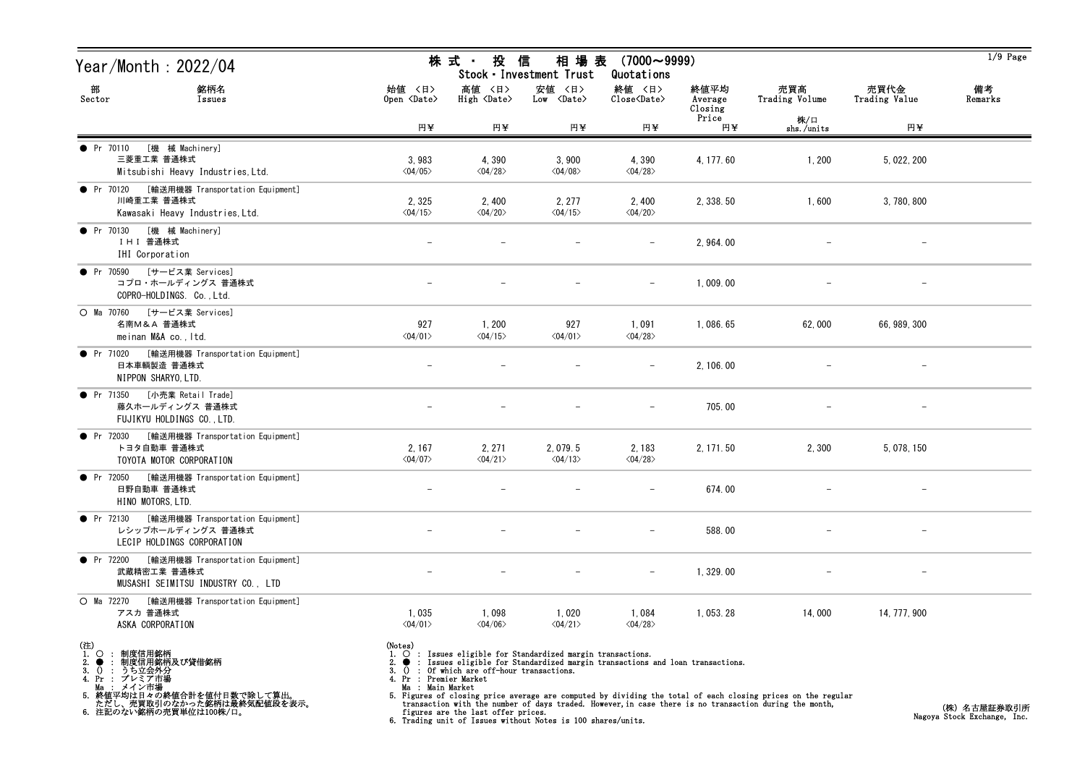| Year/Month : 2022/04                                                                                  |                                                                    | 株式 · 投                                | 信<br>相 場 表<br>Stock · Investment Trust                                                                                                                        | $(7000 \sim 9999)$<br>Quotations                                  |                            |                       |                          | $1/9$ Page    |
|-------------------------------------------------------------------------------------------------------|--------------------------------------------------------------------|---------------------------------------|---------------------------------------------------------------------------------------------------------------------------------------------------------------|-------------------------------------------------------------------|----------------------------|-----------------------|--------------------------|---------------|
| 部<br>銘柄名<br>Sector<br>Issues                                                                          | 始值 〈日〉<br>Open <date></date>                                       | 高値 〈日〉<br>High <date></date>          | 安値 〈日〉<br>Low <date></date>                                                                                                                                   | 終値 〈日〉<br>$\overline{\text{Close}}$ $\langle \text{Date} \rangle$ | 終値平均<br>Average<br>Closing | 売買高<br>Trading Volume | 売買代金<br>Trading Value    | 備考<br>Remarks |
|                                                                                                       | 円半                                                                 | 円半                                    | 円半                                                                                                                                                            | 円半                                                                | Price<br>円半                | 株/口<br>shs./units     | 円半                       |               |
| [機 械 Machinery]<br>• Pr 70110<br>三菱重工業 普通株式<br>Mitsubishi Heavy Industries, Ltd.                      | 3,983<br>$\langle 04/05 \rangle$                                   | 4,390<br>$\langle 04/28 \rangle$      | 3,900<br>$\langle 04/08 \rangle$                                                                                                                              | 4,390<br>$\langle 04/28 \rangle$                                  | 4, 177.60                  | 1,200                 | 5, 022, 200              |               |
| ● Pr 70120 [輸送用機器 Transportation Equipment]<br>川崎重工業 普通株式<br>Kawasaki Heavy Industries, Ltd.          | 2,325<br>$\langle 04/15 \rangle$                                   | 2,400<br>$\langle 04/20 \rangle$      | 2, 277<br>$\langle 04/15 \rangle$                                                                                                                             | 2,400<br>$\langle 04/20 \rangle$                                  | 2, 338.50                  | 1,600                 | 3,780,800                |               |
| [機 械 Machinery]<br>• Pr 70130<br>I H I 普通株式<br>IHI Corporation                                        |                                                                    |                                       |                                                                                                                                                               |                                                                   | 2, 964.00                  |                       |                          |               |
| ● Pr 70590 [サービス業 Services]<br>コプロ・ホールディングス 普通株式<br>COPRO-HOLDINGS. Co., Ltd.                         |                                                                    |                                       |                                                                                                                                                               | $\overline{\phantom{m}}$                                          | 1,009.00                   |                       |                          |               |
| ○ Ma 70760 [サービス業 Services]<br>名南M&A 普通株式<br>meinan M&A co., Itd.                                     | 927<br>$\langle 04/01 \rangle$                                     | 1,200<br>$\langle 04/15 \rangle$      | 927<br>$\langle 04/01 \rangle$                                                                                                                                | 1,091<br>$\langle 04/28 \rangle$                                  | 1,086.65                   | 62,000                | 66, 989, 300             |               |
| ● Pr 71020 [輸送用機器 Transportation Equipment]<br>日本車輌製造 普通株式<br>NIPPON SHARYO, LTD.                     |                                                                    |                                       |                                                                                                                                                               |                                                                   | 2, 106.00                  |                       | $\overline{\phantom{m}}$ |               |
| ● Pr 71350 [小売業 Retail Trade]<br>藤久ホールディングス 普通株式<br>FUJIKYU HOLDINGS CO., LTD.                        |                                                                    |                                       |                                                                                                                                                               |                                                                   | 705.00                     |                       |                          |               |
| ● Pr 72030 [輸送用機器 Transportation Equipment]<br>トヨタ自動車 普通株式<br>TOYOTA MOTOR CORPORATION                | 2, 167<br>$\langle 04/07 \rangle$                                  | 2, 271<br>$\langle 04/21 \rangle$     | 2,079.5<br>$\langle 04/13 \rangle$                                                                                                                            | 2,183<br>$\langle 04/28 \rangle$                                  | 2, 171.50                  | 2,300                 | 5, 078, 150              |               |
| ● Pr 72050 [輸送用機器 Transportation Equipment]<br>日野自動車 普通株式<br>HINO MOTORS, LTD.                        | $\overline{\phantom{m}}$                                           |                                       |                                                                                                                                                               |                                                                   | 674.00                     |                       |                          |               |
| ● Pr 72130 [輸送用機器 Transportation Equipment]<br>レシップホールディングス 普通株式<br>LECIP HOLDINGS CORPORATION        |                                                                    |                                       |                                                                                                                                                               |                                                                   | 588.00                     |                       |                          |               |
| [輸送用機器 Transportation Equipment]<br>• Pr $72200$<br>武蔵精密工業 普通株式<br>MUSASHI SEIMITSU INDUSTRY CO., LTD |                                                                    |                                       |                                                                                                                                                               |                                                                   | 1,329.00                   |                       |                          |               |
| O Ma 72270<br>[輸送用機器 Transportation Equipment]<br>アスカ 普通株式<br>ASKA CORPORATION                        | 1,035<br>$\langle 04/01 \rangle$                                   | 1,098<br>$\langle 04/06 \rangle$      | 1,020<br>$\langle 04/21 \rangle$                                                                                                                              | 1,084<br>$\langle 04/28 \rangle$                                  | 1, 053. 28                 | 14,000                | 14, 777, 900             |               |
| (注) $\Omega$ :<br>制度信用銘柄<br>制度信用銘柄及び貸借銘柄<br>(): うち立会外分<br>3. $() :$<br>4. Pr :<br>プレミア市場              | (Notes)<br>1.<br>$\overline{0}$<br>3.<br>Pr : Premier Market<br>4. | : Of which are off-hour transactions. | $\bigcirc$ : Issues eligible for Standardized margin transactions.<br>$\bullet$ : Issues eligible for Standardized margin transactions and loan transactions. |                                                                   |                            |                       |                          |               |

Ma : メイン市場 5. 終値平均は日々の終値合計を値付日数で除して算出。 ただし、売買取引のなかった銘柄は最終気配値段を表示。 6. 注記のない銘柄の売買単位は100株/口。

Ma : Main Market<br>5. Figures of closing price average are computed by dividing the total of each closing prices on the regular<br>transaction with the number of days traded. However, in case there is no transaction during the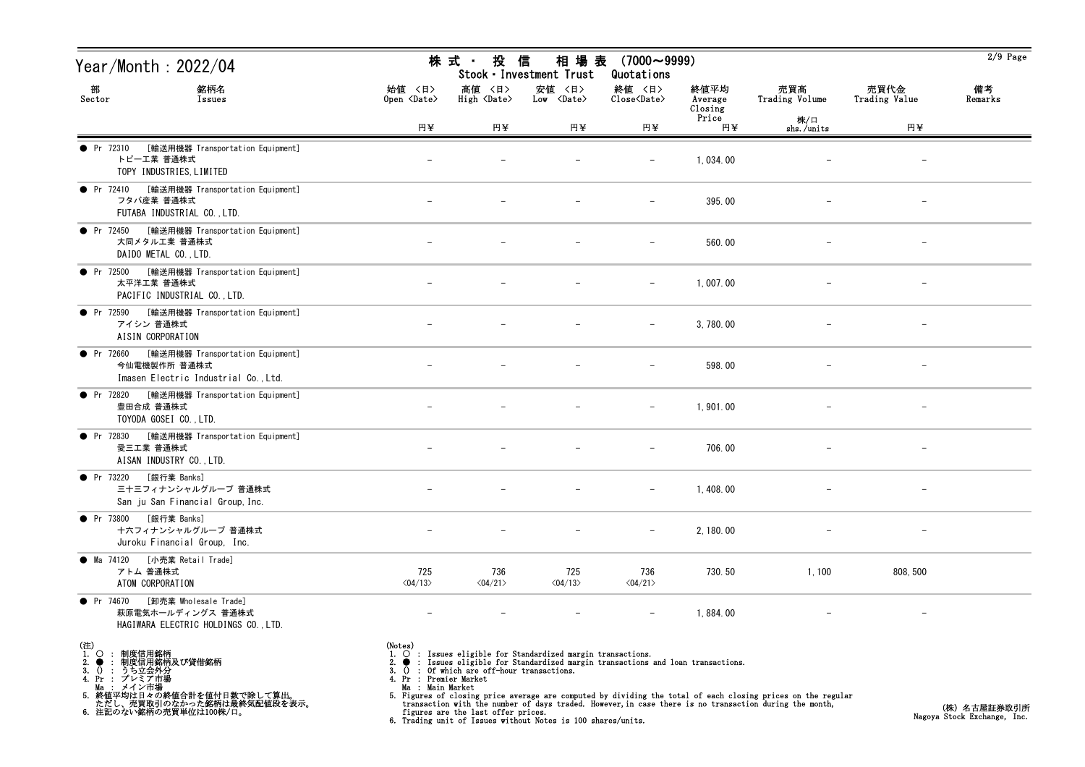| Year/Month : 2022/04                                                                                 |                                            | 株式 投信                                       | 相 場 表<br>Stock · Investment Trust                                                                                                                                 | $(7000 \sim 9999)$<br>Quotations                             |                            |                       |                          | $2/9$ Page    |
|------------------------------------------------------------------------------------------------------|--------------------------------------------|---------------------------------------------|-------------------------------------------------------------------------------------------------------------------------------------------------------------------|--------------------------------------------------------------|----------------------------|-----------------------|--------------------------|---------------|
| 部<br>銘柄名<br>Sector<br>Issues                                                                         | 始值 〈日〉<br>Open $\langle$ Date $\rangle$    | 高値 〈日〉<br>High <date></date>                | 安値 〈日〉<br>Low <date></date>                                                                                                                                       | 終値 〈日〉<br>$\widehat{\text{Close}}\langle \text{Date}\rangle$ | 終値平均<br>Average<br>Closing | 売買高<br>Trading Volume | 売買代金<br>Trading Value    | 備考<br>Remarks |
|                                                                                                      | 円半                                         | 円¥                                          | 円半                                                                                                                                                                | 円半                                                           | Price<br>円¥                | 株/口<br>shs./units     | 円半                       |               |
| [輸送用機器 Transportation Equipment]<br>• Pr 72310<br>トピーエ業 普通株式<br>TOPY INDUSTRIES, LIMITED             |                                            |                                             |                                                                                                                                                                   |                                                              | 1,034.00                   |                       |                          |               |
| ● Pr 72410 [輸送用機器 Transportation Equipment]<br>フタバ産業 普通株式<br>FUTABA INDUSTRIAL CO., LTD.             |                                            |                                             |                                                                                                                                                                   | $\overline{\phantom{m}}$                                     | 395.00                     |                       | $\overline{\phantom{a}}$ |               |
| [輸送用機器 Transportation Equipment]<br><b>•</b> Pr 72450<br>大同メタル工業 普通株式<br>DAIDO METAL CO., LTD.       |                                            |                                             |                                                                                                                                                                   |                                                              | 560.00                     |                       |                          |               |
| [輸送用機器 Transportation Equipment]<br>$\bullet$ Pr 72500<br>太平洋工業 普通株式<br>PACIFIC INDUSTRIAL CO., LTD. | $\qquad \qquad -$                          |                                             |                                                                                                                                                                   | $\overline{\phantom{m}}$                                     | 1,007.00                   |                       |                          |               |
| ● Pr 72590 [輸送用機器 Transportation Equipment]<br>アイシン 普通株式<br>AISIN CORPORATION                        |                                            |                                             |                                                                                                                                                                   |                                                              | 3,780.00                   |                       |                          |               |
| ● Pr 72660 [輸送用機器 Transportation Equipment]<br>今仙電機製作所 普通株式<br>Imasen Electric Industrial Co., Ltd.  |                                            |                                             |                                                                                                                                                                   |                                                              | 598.00                     |                       | $\overline{\phantom{m}}$ |               |
| ● Pr 72820 [輸送用機器 Transportation Equipment]<br>豊田合成 普通株式<br>TOYODA GOSEI CO., LTD.                   |                                            |                                             |                                                                                                                                                                   |                                                              | 1,901.00                   |                       |                          |               |
| [輸送用機器 Transportation Equipment]<br>• Pr 72830<br>愛三工業 普通株式<br>AISAN INDUSTRY CO., LTD.              | $\qquad \qquad -$                          |                                             |                                                                                                                                                                   | $\overline{\phantom{m}}$                                     | 706.00                     |                       |                          |               |
| ● Pr 73220 [銀行業 Banks]<br>三十三フィナンシャルグループ 普通株式<br>San ju San Financial Group, Inc.                    |                                            |                                             |                                                                                                                                                                   | $-$                                                          | 1,408.00                   |                       |                          |               |
| ● Pr 73800 [銀行業 Banks]<br>十六フィナンシャルグループ 普通株式<br>Juroku Financial Group, Inc.                         |                                            |                                             |                                                                                                                                                                   |                                                              | 2, 180.00                  |                       |                          |               |
| [小売業 Retail Trade]<br>• Ma 74120<br>アトム 普通株式<br>ATOM CORPORATION                                     | 725<br>$\langle 04/13 \rangle$             | 736<br>$\langle 04/21 \rangle$              | 725<br>$\langle 04/13 \rangle$                                                                                                                                    | 736<br>$\langle 04/21 \rangle$                               | 730.50                     | 1,100                 | 808, 500                 |               |
| [卸売業 Wholesale Trade]<br>• Pr 74670<br>萩原電気ホールディングス 普通株式<br>HAGIWARA ELECTRIC HOLDINGS CO., LTD.     |                                            |                                             |                                                                                                                                                                   |                                                              | 1,884.00                   |                       |                          |               |
| (注)<br>1.○ : 制度信用銘柄<br>? ● : 制度信用銘柄及び貸借銘柄<br>? ● : 制度信用銘柄及び貸借銘柄<br>3. $() :$<br>4. Pr :<br>プレミア市場    | (Notes)<br>1.<br>Pr : Premier Market<br>4. | 3. () : Of which are off-hour transactions. | $\overline{O}$ : Issues eligible for Standardized margin transactions.<br>$\bullet$ : Issues eligible for Standardized margin transactions and loan transactions. |                                                              |                            |                       |                          |               |

Ma : メイン市場

5. 終値平均は日々の終値合計を値付日数で除して算出。 ただし、売買取引のなかった銘柄は最終気配値段を表示。 6. 注記のない銘柄の売買単位は100株/口。

Ma : Main Market<br>5. Figures of closing price average are computed by dividing the total of each closing prices on the regular<br>transaction with the number of days traded. However, in case there is no transaction during the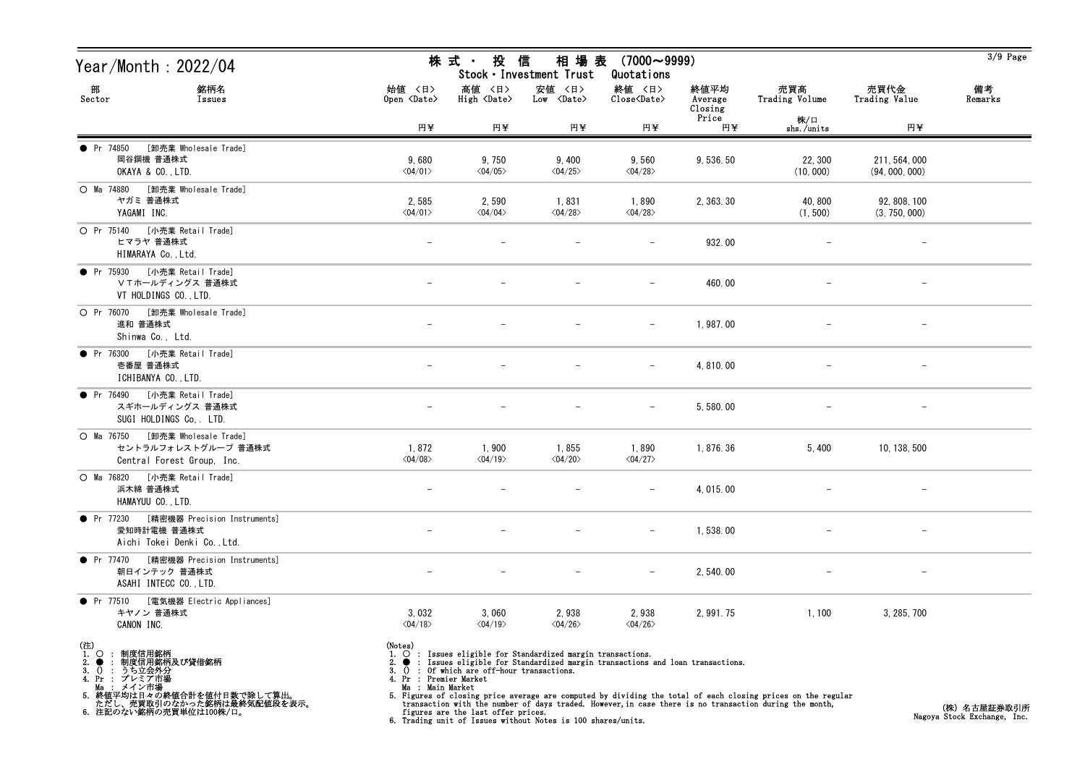| Year/Month : 2022/04                                                                         |                                         | 株式 投信                                    | 相 場 表<br>Stock · Investment Trust                                                                                                                             | $(7000 \sim 9999)$<br>Quotations |                            |                       |                                 | $3/9$ Page    |
|----------------------------------------------------------------------------------------------|-----------------------------------------|------------------------------------------|---------------------------------------------------------------------------------------------------------------------------------------------------------------|----------------------------------|----------------------------|-----------------------|---------------------------------|---------------|
| 部<br>銘柄名<br>Sector<br>Issues                                                                 | 始値 〈日〉<br>Open <date></date>            | 高値 〈日〉<br>High <date></date>             | 安値 〈日〉<br>$Low \over \langle Date \rangle$                                                                                                                    | 終値 <日><br>Close <date></date>    | 終値平均<br>Average<br>Closing | 売買高<br>Trading Volume | 売買代金<br>Trading Value           | 備考<br>Remarks |
|                                                                                              | 円半                                      | 円半                                       | 円半                                                                                                                                                            | 円半                               | Price<br>円半                | 株/口<br>shs./units     | 円半                              |               |
| <b>O</b> Pr 74850<br>[卸売業 Wholesale Trade]<br>岡谷鋼機 普通株式<br>OKAYA & CO., LTD.                 | 9,680<br>$\langle 04/01 \rangle$        | 9,750<br>$\langle 04/05 \rangle$         | 9,400<br>$\langle 04/25 \rangle$                                                                                                                              | 9,560<br>$\langle 04/28 \rangle$ | 9,536.50                   | 22, 300<br>(10, 000)  | 211, 564, 000<br>(94, 000, 000) |               |
| ○ Ma 74880 [卸売業 Wholesale Trade]<br>ヤガミ 普通株式<br>YAGAMI INC.                                  | 2,585<br>$\langle 04/01 \rangle$        | 2,590<br>$\langle 04/04 \rangle$         | 1,831<br>$\langle 04/28 \rangle$                                                                                                                              | 1,890<br>$\langle 04/28 \rangle$ | 2, 363. 30                 | 40,800<br>(1, 500)    | 92, 808, 100<br>(3, 750, 000)   |               |
| O Pr 75140 [小売業 Retail Trade]<br>ヒマラヤ 普通株式<br>HIMARAYA Co., Ltd.                             |                                         |                                          |                                                                                                                                                               |                                  | 932.00                     |                       |                                 |               |
| ● Pr 75930 [小売業 Retail Trade]<br>ⅤTホールディングス 普通株式<br>VT HOLDINGS CO., LTD.                    | $\overline{\phantom{m}}$                |                                          |                                                                                                                                                               |                                  | 460.00                     |                       |                                 |               |
| O Pr 76070 [卸売業 Wholesale Trade]<br>進和 普通株式<br>Shinwa Co., Ltd.                              |                                         |                                          |                                                                                                                                                               |                                  | 1,987.00                   |                       |                                 |               |
| ● Pr 76300 [小売業 Retail Trade]<br>壱番屋 普通株式<br>ICHIBANYA CO., LTD.                             |                                         |                                          |                                                                                                                                                               | $\overline{\phantom{m}}$         | 4,810.00                   |                       | $\overline{\phantom{a}}$        |               |
| ● Pr 76490 [小売業 Retail Trade]<br>スギホールディングス 普通株式<br>SUGI HOLDINGS Co, . LTD.                 |                                         |                                          |                                                                                                                                                               |                                  | 5,580.00                   |                       |                                 |               |
| ○ Ma 76750 [卸売業 Wholesale Trade]<br>セントラルフォレストグループ 普通株式<br>Central Forest Group, Inc.        | 1,872<br>$\langle 04/08 \rangle$        | 1,900<br>$\langle 04/19 \rangle$         | 1,855<br>$\langle 04/20 \rangle$                                                                                                                              | 1,890<br>$\langle 04/27 \rangle$ | 1,876.36                   | 5,400                 | 10, 138, 500                    |               |
| ○ Ma 76820 [小売業 Retail Trade]<br>浜木綿 普通株式<br>HAMAYUU CO., LTD.                               |                                         |                                          |                                                                                                                                                               |                                  | 4, 015.00                  |                       |                                 |               |
| ● Pr 77230 [精密機器 Precision Instruments]<br>愛知時計電機 普通株式<br>Aichi Tokei Denki Co., Ltd.        |                                         |                                          |                                                                                                                                                               |                                  | 1,538.00                   |                       |                                 |               |
| $\bullet$ Pr 77470<br>[精密機器 Precision Instruments]<br>朝日インテック 普通株式<br>ASAHI INTECC CO., LTD. |                                         |                                          |                                                                                                                                                               |                                  | 2, 540.00                  |                       |                                 |               |
| [電気機器 Electric Appliances]<br>• Pr $77510$<br>キヤノン 普通株式<br>CANON INC.                        | 3,032<br>$\langle 04/18 \rangle$        | 3,060<br>$\langle 04/19 \rangle$         | 2,938<br>$\langle 04/26 \rangle$                                                                                                                              | 2,938<br>$\langle 04/26 \rangle$ | 2, 991. 75                 | 1,100                 | 3, 285, 700                     |               |
| (注) $\frac{1}{2}$<br>: 制度信用銘柄<br>制度信用銘柄及び貸借銘柄<br>3. () : うち立会外分<br>4. Pr : プレミア市場            | (Notes)<br>3.<br>4. Pr : Premier Market | () : Of which are off-hour transactions. | $\overrightarrow{O}$ : Issues eligible for Standardized margin transactions.<br>• Issues eligible for Standardized margin transactions and loan transactions. |                                  |                            |                       |                                 |               |

Ma : メイン市場 5. 終値平均は日々の終値合計を値付日数で除して算出。 ただし、売買取引のなかった銘柄は最終気配値段を表示。 6. 注記のない銘柄の売買単位は100株/口。

Ma : Main Market<br>5. Figures of closing price average are computed by dividing the total of each closing prices on the regular<br>transaction with the number of days traded. However, in case there is no transaction during the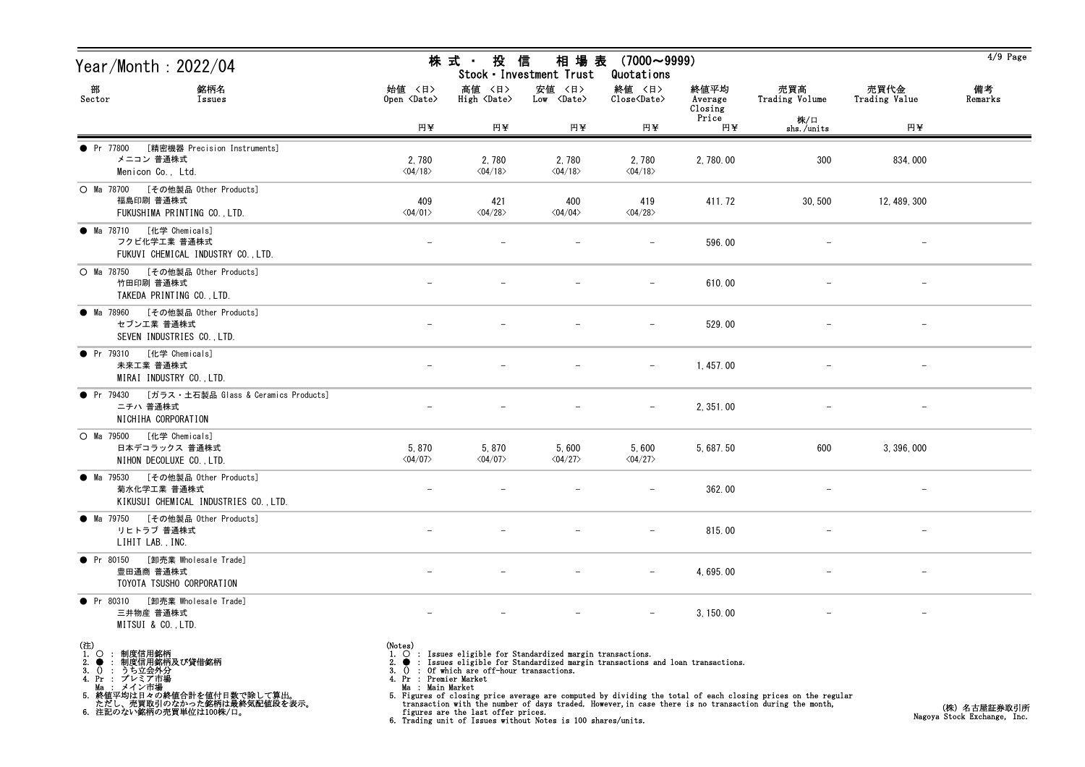| Year/Month : 2022/04                                                                                         |                                                              | 株 式 ・ 投 信                                                                   | Stock · Investment Trust                                                                                                                      | 相場表 (7000~9999)<br>Quotations    |                            |                                                                                                                                                                                                                        |                          | $4/9$ Page                                 |
|--------------------------------------------------------------------------------------------------------------|--------------------------------------------------------------|-----------------------------------------------------------------------------|-----------------------------------------------------------------------------------------------------------------------------------------------|----------------------------------|----------------------------|------------------------------------------------------------------------------------------------------------------------------------------------------------------------------------------------------------------------|--------------------------|--------------------------------------------|
| 部<br>銘柄名<br>Sector<br>Issues                                                                                 | 始値 〈日〉<br>Open <date></date>                                 | 高値 〈日〉<br>High <date></date>                                                | 安値 〈日〉<br>Low <date></date>                                                                                                                   | 終値 〈日〉<br>Close <date></date>    | 終値平均<br>Average<br>Closing | 売買高<br>Trading Volume                                                                                                                                                                                                  | 売買代金<br>Trading Value    | 備考<br>Remarks                              |
|                                                                                                              | 円半                                                           | 円半                                                                          | 円半                                                                                                                                            | 円半                               | Price<br>円半                | 株/口<br>shs./units                                                                                                                                                                                                      | 円¥                       |                                            |
| [精密機器 Precision Instruments]<br>• Pr 77800<br>メニコン 普通株式<br>Menicon Co., Ltd.                                 | 2,780<br>$\langle 04/18 \rangle$                             | 2,780<br>$\langle 04/18 \rangle$                                            | 2,780<br>$\langle 04/18 \rangle$                                                                                                              | 2,780<br>$\langle 04/18 \rangle$ | 2, 780.00                  | 300                                                                                                                                                                                                                    | 834,000                  |                                            |
| ○ Ma 78700 [その他製品 Other Products]<br>福島印刷 普通株式<br>FUKUSHIMA PRINTING CO., LTD.                               | 409<br>$\langle 04/01 \rangle$                               | 421<br>$\langle 04/28 \rangle$                                              | 400<br>$\langle 04/04 \rangle$                                                                                                                | 419<br>$\langle 04/28 \rangle$   | 411.72                     | 30, 500                                                                                                                                                                                                                | 12, 489, 300             |                                            |
| ● Ma 78710 [化学 Chemicals]<br>フクビ化学工業 普通株式<br>FUKUVI CHEMICAL INDUSTRY CO., LTD.                              |                                                              |                                                                             |                                                                                                                                               |                                  | 596.00                     |                                                                                                                                                                                                                        |                          |                                            |
| ○ Ma 78750 [その他製品 Other Products]<br>竹田印刷 普通株式<br>TAKEDA PRINTING CO., LTD.                                  |                                                              |                                                                             |                                                                                                                                               |                                  | 610.00                     |                                                                                                                                                                                                                        |                          |                                            |
| ● Ma 78960 [その他製品 Other Products]<br>セブンエ業 普通株式<br>SEVEN INDUSTRIES CO., LTD.                                |                                                              |                                                                             |                                                                                                                                               |                                  | 529.00                     |                                                                                                                                                                                                                        |                          |                                            |
| ● Pr 79310 [化学 Chemicals]<br>未来工業 普通株式<br>MIRAI INDUSTRY CO., LTD.                                           |                                                              |                                                                             |                                                                                                                                               |                                  | 1, 457.00                  |                                                                                                                                                                                                                        |                          |                                            |
| ● Pr 79430 [ガラス・土石製品 Glass & Ceramics Products]<br>ニチハ 普通株式<br>NICHIHA CORPORATION                           |                                                              |                                                                             |                                                                                                                                               |                                  | 2, 351.00                  |                                                                                                                                                                                                                        |                          |                                            |
| O Ma 79500 [化学 Chemicals]<br>日本デコラックス 普通株式<br>NIHON DECOLUXE CO., LTD.                                       | 5,870<br>$\langle 04/07 \rangle$                             | 5,870<br>$\langle 04/07 \rangle$                                            | 5,600<br>$\langle 04/27 \rangle$                                                                                                              | 5,600<br>$\langle 04/27 \rangle$ | 5, 687. 50                 | 600                                                                                                                                                                                                                    | 3, 396, 000              |                                            |
| ● Ma 79530 [その他製品 Other Products]<br>菊水化学工業 普通株式<br>KIKUSUI CHEMICAL INDUSTRIES CO., LTD.                    |                                                              |                                                                             |                                                                                                                                               |                                  | 362.00                     |                                                                                                                                                                                                                        |                          |                                            |
| ● Ma 79750 [その他製品 Other Products]<br>リヒトラブ 普通株式<br>LIHIT LAB., INC.                                          |                                                              |                                                                             |                                                                                                                                               |                                  | 815.00                     |                                                                                                                                                                                                                        |                          |                                            |
| [卸売業 Wholesale Trade]<br>• Pr 80150<br>豊田通商 普通株式<br>TOYOTA TSUSHO CORPORATION                                |                                                              |                                                                             |                                                                                                                                               |                                  | 4,695.00                   |                                                                                                                                                                                                                        |                          |                                            |
| 「卸売業 Wholesale Trade]<br>$\bullet$ Pr 80310<br>三井物産 普通株式<br>MITSUI & CO., LTD.                               |                                                              |                                                                             |                                                                                                                                               |                                  | 3, 150.00                  |                                                                                                                                                                                                                        | $\overline{\phantom{a}}$ |                                            |
| $\overset{(\pm)}{1}$<br>$\circ$<br>: 制度信用銘柄<br>● : 制度信用銘柄及び貸借銘柄<br>() : うち立会外分<br>2.<br>3.<br>4. Pr : プレミア市場 | (Notes)<br>3.0<br>4. Pr : Premier Market<br>Ma : Main Market | : Of which are off-hour transactions.<br>figures are the last offer prices. | 1. O : Issues eligible for Standardized margin transactions.<br>: Issues eligible for Standardized margin transactions and loan transactions. |                                  |                            | 5. Figures of closing price average are computed by dividing the total of each closing prices on the regular<br>transaction with the number of days traded. However, in case there is no transaction during the month, |                          | (株)名古屋証券取引所<br>Nagova Stock Exchange. Inc. |

figures are the last offer prices. 6. Trading unit of Issues without Notes is 100 shares/units.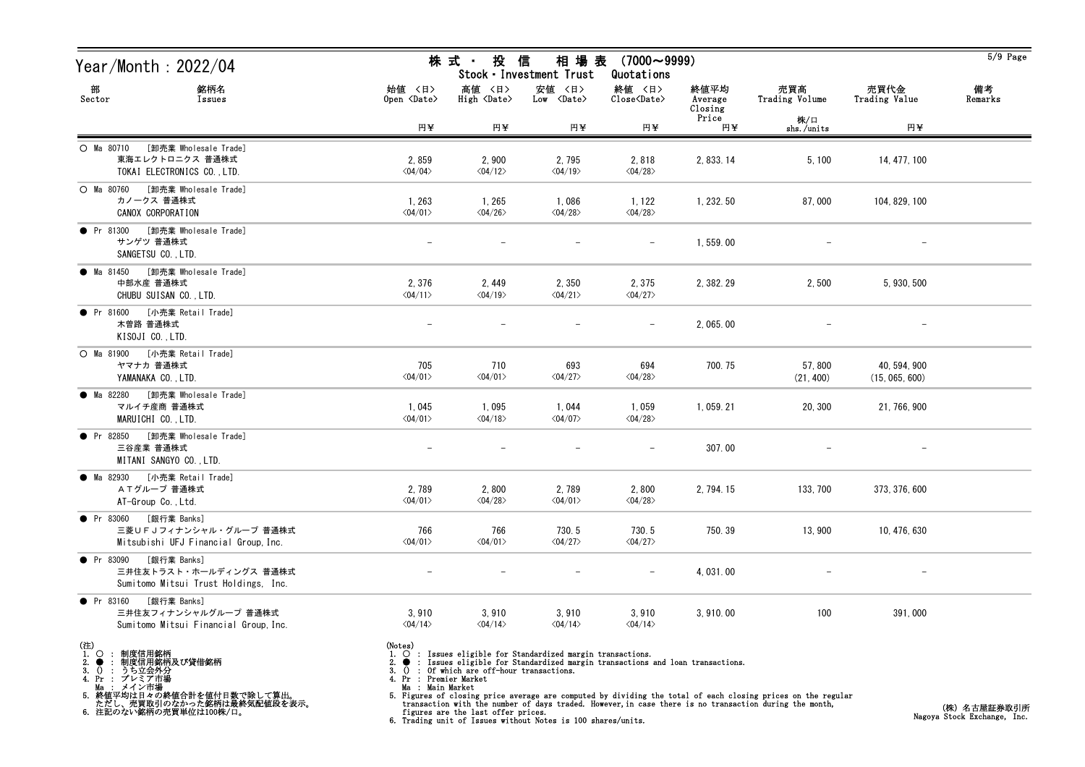| Year/Month : 2022/04                                                                        |                                                | 株 式 ・ 投                                       | 信<br>相 場 表<br>Stock · Investment Trust                                                                                                           | $(7000 \sim 9999)$<br>Quotations                   |                            |                       |                                | $5/9$ Page    |
|---------------------------------------------------------------------------------------------|------------------------------------------------|-----------------------------------------------|--------------------------------------------------------------------------------------------------------------------------------------------------|----------------------------------------------------|----------------------------|-----------------------|--------------------------------|---------------|
| 部<br>銘柄名<br>Sector<br>Issues                                                                | 始値 〈日〉<br>Open <date></date>                   | 高値 〈日〉<br>$High \langle Date \rangle$         | 安値 〈日〉<br>$Low \langle Date \rangle$                                                                                                             | 終値 〈日〉<br>$\text{Close}\langle \text{Date}\rangle$ | 終値平均<br>Average<br>Closing | 売買高<br>Trading Volume | 売買代金<br>Trading Value          | 備考<br>Remarks |
|                                                                                             | 円半                                             | 円半                                            | 円半                                                                                                                                               | 円半                                                 | Price<br>円半                | 株/口<br>shs./units     | 円半                             |               |
| [卸売業 Wholesale Trade]<br>O Ma 80710<br>東海エレクトロニクス 普通株式<br>TOKAI ELECTRONICS CO., LTD.       | 2,859<br>$\langle 04/04 \rangle$               | 2,900<br>$\langle 04/12 \rangle$              | 2,795<br>$\langle 04/19 \rangle$                                                                                                                 | 2,818<br>$\langle 04/28 \rangle$                   | 2, 833. 14                 | 5,100                 | 14, 477, 100                   |               |
| ○ Ma 80760 [卸売業 Wholesale Trade]<br>カノークス 普通株式<br>CANOX CORPORATION                         | 1, 263<br>$\langle 04/01 \rangle$              | 1, 265<br>$\langle 04/26 \rangle$             | 1,086<br>$\langle 04/28 \rangle$                                                                                                                 | 1, 122<br>$\langle 04/28 \rangle$                  | 1, 232.50                  | 87,000                | 104, 829, 100                  |               |
| [卸売業 Wholesale Trade]<br>• Pr 81300<br>サンゲツ 普通株式<br>SANGETSU CO., LTD.                      |                                                |                                               |                                                                                                                                                  |                                                    | 1,559.00                   |                       |                                |               |
| [卸売業 Wholesale Trade]<br>● Ma 81450<br>中部水産 普通株式<br>CHUBU SUISAN CO., LTD.                  | 2,376<br>$\langle 04/11 \rangle$               | 2, 449<br>$\langle 04/19 \rangle$             | 2,350<br>$\langle 04/21 \rangle$                                                                                                                 | 2,375<br>$\langle 04/27 \rangle$                   | 2, 382. 29                 | 2,500                 | 5, 930, 500                    |               |
| ● Pr 81600 [小売業 Retail Trade]<br>木曽路 普通株式<br>KISOJI CO., LTD.                               |                                                |                                               |                                                                                                                                                  |                                                    | 2, 065.00                  |                       |                                |               |
| O Ma 81900 [小売業 Retail Trade]<br>ヤマナカ 普通株式<br>YAMANAKA CO., LTD.                            | 705<br>$\langle 04/01 \rangle$                 | 710<br>$\langle 04/01 \rangle$                | 693<br>$\langle 04/27 \rangle$                                                                                                                   | 694<br>$\langle 04/28 \rangle$                     | 700.75                     | 57,800<br>(21, 400)   | 40, 594, 900<br>(15, 065, 600) |               |
| ● Ma 82280 [卸売業 Wholesale Trade]<br>マルイチ産商 普通株式<br>MARUICHI CO., LTD.                       | 1,045<br>$\langle 04/01 \rangle$               | 1,095<br>$\langle 04/18 \rangle$              | 1,044<br>$\langle 04/07 \rangle$                                                                                                                 | 1,059<br>$\langle 04/28 \rangle$                   | 1, 059. 21                 | 20, 300               | 21, 766, 900                   |               |
| ● Pr 82850 [卸売業 Wholesale Trade]<br>三谷産業 普通株式<br>MITANI SANGYO CO., LTD.                    |                                                |                                               |                                                                                                                                                  |                                                    | 307.00                     |                       |                                |               |
| [小売業 Retail Trade]<br>● Ma 82930<br>ATグループ 普通株式<br>AT-Group Co., Ltd.                       | 2,789<br>$\langle 04/01 \rangle$               | 2,800<br>$\langle 04/28 \rangle$              | 2,789<br>$\langle 04/01 \rangle$                                                                                                                 | 2,800<br>$\langle 04/28 \rangle$                   | 2, 794. 15                 | 133, 700              | 373, 376, 600                  |               |
| ● Pr 83060 [銀行業 Banks]<br>三菱UFJフィナンシャル・グループ 普通株式<br>Mitsubishi UFJ Financial Group, Inc.    | 766<br>$\langle 04/01 \rangle$                 | 766<br>$\langle 04/01 \rangle$                | 730.5<br>$\langle 04/27 \rangle$                                                                                                                 | 730.5<br>$\langle 04/27 \rangle$                   | 750.39                     | 13,900                | 10, 476, 630                   |               |
| • Pr 83090<br>[銀行業 Banks]<br>三井住友トラスト・ホールディングス 普通株式<br>Sumitomo Mitsui Trust Holdings, Inc. |                                                |                                               |                                                                                                                                                  |                                                    | 4,031.00                   |                       |                                |               |
| • Pr 83160<br>[銀行業 Banks]<br>三井住友フィナンシャルグループ 普通株式<br>Sumitomo Mitsui Financial Group, Inc.  | 3,910<br>$\langle 04/14 \rangle$               | 3,910<br>$\langle 04/14 \rangle$              | 3,910<br>$\langle 04/14 \rangle$                                                                                                                 | 3,910<br>$\langle 04/14 \rangle$                   | 3,910.00                   | 100                   | 391,000                        |               |
| (注)<br>1.○ : 制度信用銘柄<br>2.● : 制度信用銘柄及び貸借銘柄<br>3. 0 : うち立会外分<br>4. Pr : プレミア市場                | (Notes)<br>$\bullet$<br>4. Pr : Premier Market | 3. $()$ : Of which are off-hour transactions. | $\circ$ : Issues eligible for Standardized margin transactions.<br>: Issues eligible for Standardized margin transactions and loan transactions. |                                                    |                            |                       |                                |               |

Ma : メイン市場

5. 終値平均は日々の終値合計を値付日数で除して算出。 ただし、売買取引のなかった銘柄は最終気配値段を表示。 6. 注記のない銘柄の売買単位は100株/口。

Ma : Main Market<br>5. Figures of closing price average are computed by dividing the total of each closing prices on the regular<br>transaction with the number of days traded. However, in case there is no transaction during the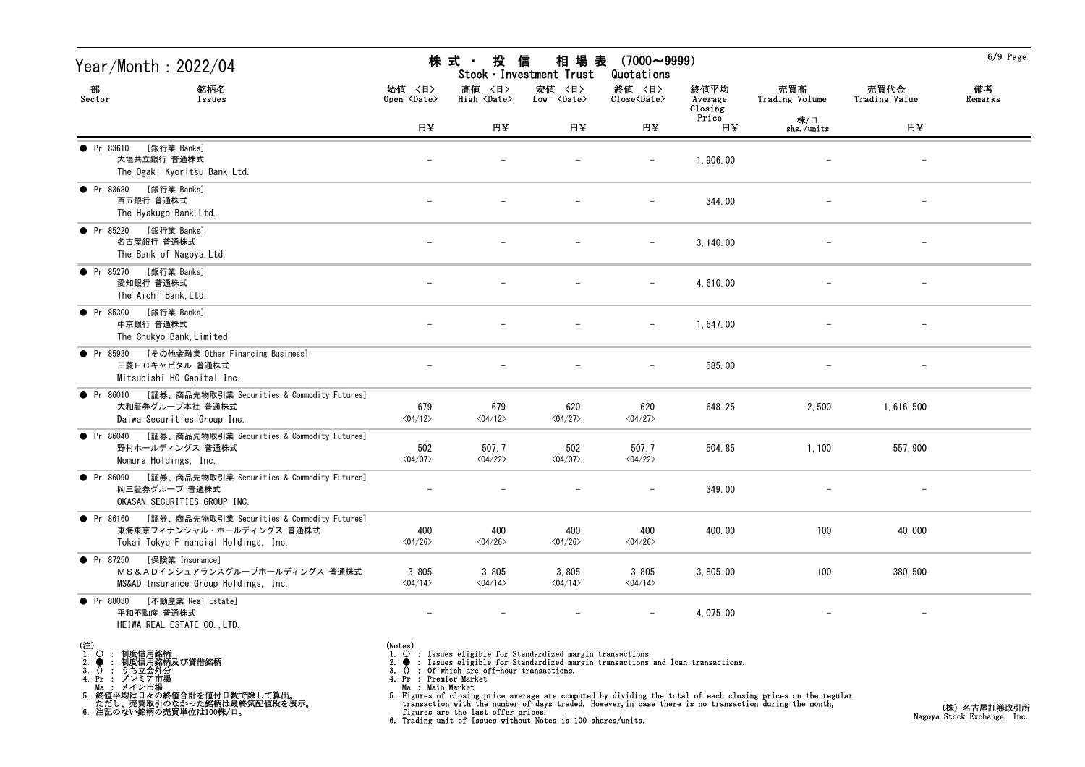| Year/Month : 2022/04                                                                                                                                                                                                                   |                                                                                      | 株 式 ・<br>投                                                                | 信<br>相場表<br>Stock · Investment Trust                                                                                                             | $(7000 \sim 9999)$<br>Quotations                             |                            |                                                                                                                                                                                                                        |                          | $6/9$ Page    |
|----------------------------------------------------------------------------------------------------------------------------------------------------------------------------------------------------------------------------------------|--------------------------------------------------------------------------------------|---------------------------------------------------------------------------|--------------------------------------------------------------------------------------------------------------------------------------------------|--------------------------------------------------------------|----------------------------|------------------------------------------------------------------------------------------------------------------------------------------------------------------------------------------------------------------------|--------------------------|---------------|
| 部<br>銘柄名<br>Sector<br>Issues                                                                                                                                                                                                           | 始値 〈日〉<br>Open <date></date>                                                         | 高値 〈日〉<br>High $\langle$ Date $\rangle$                                   | 安値 〈日〉<br>$Low \langle Date \rangle$                                                                                                             | 終値 〈日〉<br>$\overline{\text{Close}}\langle\text{Date}\rangle$ | 終値平均<br>Average<br>Closing | 売買高<br>Trading Volume                                                                                                                                                                                                  | 売買代金<br>Trading Value    | 備考<br>Remarks |
|                                                                                                                                                                                                                                        | 円¥                                                                                   | 円半                                                                        | 円半                                                                                                                                               | 円半                                                           | Price<br>円半                | 株/口<br>shs./units                                                                                                                                                                                                      | 円半                       |               |
| [銀行業 Banks]<br>• Pr 83610<br>大垣共立銀行 普通株式<br>The Ogaki Kyoritsu Bank, Ltd.                                                                                                                                                              |                                                                                      |                                                                           |                                                                                                                                                  |                                                              | 1,906.00                   |                                                                                                                                                                                                                        |                          |               |
| [銀行業 Banks]<br>• Pr 83680<br>百五銀行 普通株式<br>The Hyakugo Bank, Ltd.                                                                                                                                                                       |                                                                                      |                                                                           |                                                                                                                                                  |                                                              | 344.00                     |                                                                                                                                                                                                                        | $\overline{\phantom{m}}$ |               |
| [銀行業 Banks]<br>• Pr 85220<br>名古屋銀行 普通株式<br>The Bank of Nagoya, Ltd.                                                                                                                                                                    |                                                                                      |                                                                           |                                                                                                                                                  |                                                              | 3, 140.00                  |                                                                                                                                                                                                                        |                          |               |
| [銀行業 Banks]<br>• Pr 85270<br>愛知銀行 普通株式<br>The Aichi Bank. Ltd.                                                                                                                                                                         |                                                                                      |                                                                           |                                                                                                                                                  |                                                              | 4,610.00                   |                                                                                                                                                                                                                        |                          |               |
| [銀行業 Banks]<br>• Pr 85300<br>中京銀行 普通株式<br>The Chukyo Bank, Limited                                                                                                                                                                     |                                                                                      |                                                                           |                                                                                                                                                  |                                                              | 1,647.00                   |                                                                                                                                                                                                                        |                          |               |
| ● Pr 85930 [その他金融業 Other Financing Business]<br>三菱HCキャピタル 普通株式<br>Mitsubishi HC Capital Inc.                                                                                                                                           |                                                                                      |                                                                           |                                                                                                                                                  |                                                              | 585.00                     |                                                                                                                                                                                                                        |                          |               |
| [証券、商品先物取引業 Securities & Commodity Futures]<br>$\bullet$ Pr 86010<br>大和証券グループ本社 普通株式<br>Daiwa Securities Group Inc.                                                                                                                    | 679<br>$\langle 04/12 \rangle$                                                       | 679<br>$\langle 04/12 \rangle$                                            | 620<br>$\langle 04/27 \rangle$                                                                                                                   | 620<br>$\langle 04/27 \rangle$                               | 648.25                     | 2,500                                                                                                                                                                                                                  | 1, 616, 500              |               |
| [証券、商品先物取引業 Securities & Commodity Futures]<br>• Pr 86040<br>野村ホールディングス 普通株式<br>Nomura Holdings, Inc.                                                                                                                                  | 502<br>$\langle 04/07 \rangle$                                                       | 507.7<br>$\langle 04/22 \rangle$                                          | 502<br>$\langle 04/07 \rangle$                                                                                                                   | 507.7<br>$\langle 04/22 \rangle$                             | 504.85                     | 1,100                                                                                                                                                                                                                  | 557, 900                 |               |
| [証券、商品先物取引業 Securities & Commodity Futures]<br>$\bullet$ Pr 86090<br>岡三証券グループ 普通株式<br>OKASAN SECURITIES GROUP INC.                                                                                                                     |                                                                                      |                                                                           |                                                                                                                                                  |                                                              | 349.00                     |                                                                                                                                                                                                                        |                          |               |
| ● Pr 86160 [証券、商品先物取引業 Securities & Commodity Futures]<br>東海東京フィナンシャル・ホールディングス 普通株式<br>Tokai Tokyo Financial Holdings, Inc.                                                                                                            | 400<br>$\langle 04/26 \rangle$                                                       | 400<br>$\langle 04/26 \rangle$                                            | 400<br>$\langle 04/26 \rangle$                                                                                                                   | 400<br>$\langle 04/26 \rangle$                               | 400.00                     | 100                                                                                                                                                                                                                    | 40,000                   |               |
| • Pr 87250<br>[保険業 Insurance]<br>MS&ADインシュアランスグループホールディングス 普通株式<br>MS&AD Insurance Group Holdings, Inc.                                                                                                                                | 3,805<br>$\langle 04/14 \rangle$                                                     | 3,805<br>$\langle 04/14 \rangle$                                          | 3,805<br>$\langle 04/14 \rangle$                                                                                                                 | 3,805<br>$\langle 04/14 \rangle$                             | 3,805.00                   | 100                                                                                                                                                                                                                    | 380, 500                 |               |
| [不動産業 Real Estate]<br>$\bullet$ Pr 88030<br>平和不動産 普通株式<br>HEIWA REAL ESTATE CO., LTD.                                                                                                                                                  |                                                                                      |                                                                           |                                                                                                                                                  |                                                              | 4, 075.00                  |                                                                                                                                                                                                                        | $\overline{\phantom{0}}$ |               |
| (注)<br>1.<br>$\circ$<br>: 制度信用銘柄<br>: 制度信用銘柄及び貸借銘柄<br>2.<br>$\bullet$<br>うち立会外分<br>3.<br>$\Omega$<br>$\cdot$ :<br>4. Pr : プレミア市場<br>Ma : メイン市場<br>5. 終値平均は日々の終値合計を値付日数で除して算出。<br>ただし、売買取引のなかった銘柄は最終気配値段を表示。<br>6. 注記のない銘柄の売買単位は100株/口。 | (Notes)<br>$\bullet$<br>$\Omega$<br>3.<br>4. Pr : Premier Market<br>Ma : Main Market | Of which are off-hour transactions.<br>figures are the last offer prices. | $\circ$ : Issues eligible for Standardized margin transactions.<br>: Issues eligible for Standardized margin transactions and loan transactions. |                                                              |                            | 5. Figures of closing price average are computed by dividing the total of each closing prices on the regular<br>transaction with the number of days traded. However, in case there is no transaction during the month, |                          | (株)名古屋証券取引所   |

Ma : Main Market<br>5. Figures of closing price average are computed by dividing the total of each closing prices on the regular<br>transaction with the number of days traded. However, in case there is no transaction during the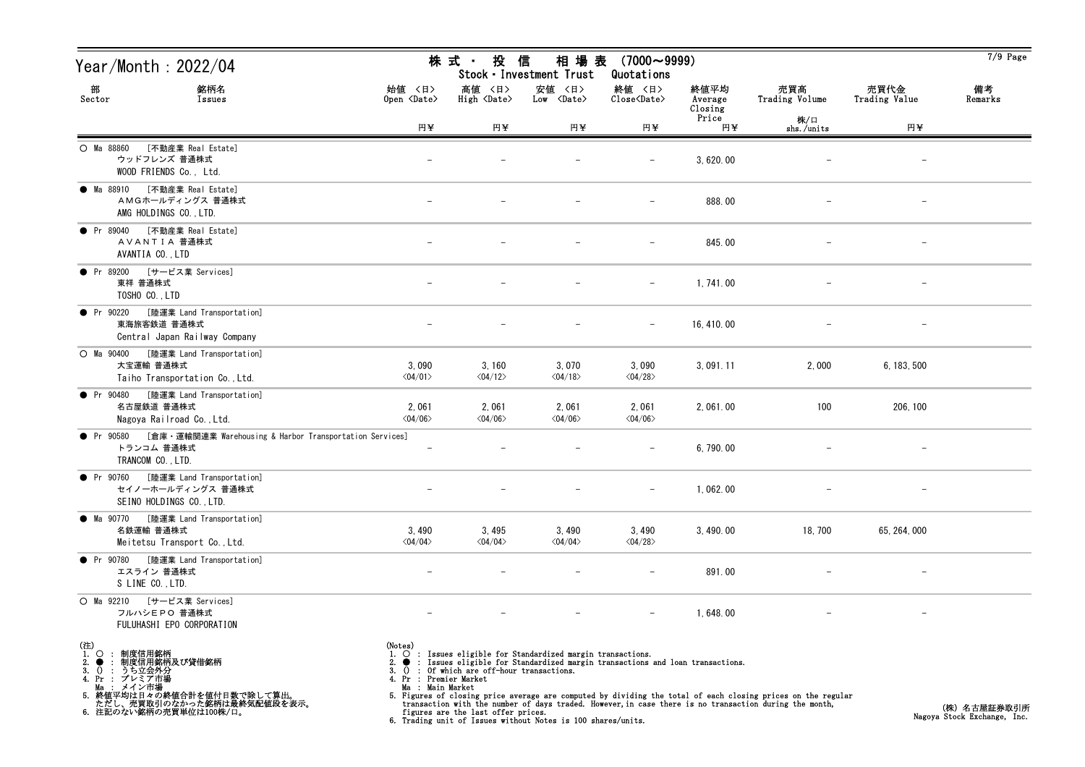| Year/Month : 2022/04                                                                                                                                                                        |                                                                                 | 株 式 ・<br>投                                                                  | 信<br>相 場 表<br>Stock · Investment Trust                                                                                                                                                                        | $(7000 \sim 9999)$<br>Quotations |                            |                                                                                                                                                                                                                        |                          | $7/9$ Page                                  |
|---------------------------------------------------------------------------------------------------------------------------------------------------------------------------------------------|---------------------------------------------------------------------------------|-----------------------------------------------------------------------------|---------------------------------------------------------------------------------------------------------------------------------------------------------------------------------------------------------------|----------------------------------|----------------------------|------------------------------------------------------------------------------------------------------------------------------------------------------------------------------------------------------------------------|--------------------------|---------------------------------------------|
| 部<br>銘柄名<br>Sector<br>Issues                                                                                                                                                                | 始値 〈日〉<br>Open <date></date>                                                    | 高値 〈日〉<br>High <date></date>                                                | 安値 〈日〉<br>Low <date></date>                                                                                                                                                                                   | 終値 〈日〉<br>Close <date></date>    | 終値平均<br>Average<br>Closing | 売買高<br>Trading Volume                                                                                                                                                                                                  | 売買代金<br>Trading Value    | 備考<br>Remarks                               |
|                                                                                                                                                                                             | 円半                                                                              | 円半                                                                          | 円半                                                                                                                                                                                                            | 円半                               | Price<br>円半                | 株/口<br>shs./units                                                                                                                                                                                                      | 円半                       |                                             |
| [不動産業 Real Estate]<br>O Ma 88860<br>ウッドフレンズ 普通株式<br>WOOD FRIENDS Co., Ltd.                                                                                                                  |                                                                                 |                                                                             |                                                                                                                                                                                                               |                                  | 3,620.00                   |                                                                                                                                                                                                                        |                          |                                             |
| [不動産業 Real Estate]<br>● Ma 88910<br>AMGホールディングス 普通株式<br>AMG HOLDINGS CO., LTD.                                                                                                              |                                                                                 |                                                                             |                                                                                                                                                                                                               |                                  | 888.00                     |                                                                                                                                                                                                                        | $\overline{\phantom{m}}$ |                                             |
| [不動産業 Real Estate]<br>• Pr 89040<br>AVANTIA 普通株式<br>AVANTIA CO., LTD                                                                                                                        |                                                                                 |                                                                             |                                                                                                                                                                                                               |                                  | 845.00                     |                                                                                                                                                                                                                        |                          |                                             |
| [サービス業 Services]<br>• Pr 89200<br>東祥 普通株式<br>TOSHO CO., LTD                                                                                                                                 | $\overline{\phantom{m}}$                                                        |                                                                             |                                                                                                                                                                                                               | $\overline{\phantom{m}}$         | 1,741.00                   |                                                                                                                                                                                                                        |                          |                                             |
| [陸運業 Land Transportation]<br>• Pr 90220<br>東海旅客鉄道 普通株式<br>Central Japan Railway Company                                                                                                     |                                                                                 |                                                                             |                                                                                                                                                                                                               |                                  | 16, 410, 00                |                                                                                                                                                                                                                        |                          |                                             |
| [陸運業 Land Transportation]<br>$O$ Ma $90400$<br>大宝運輸 普通株式<br>Taiho Transportation Co., Ltd.                                                                                                  | 3,090<br>$\langle 04/01 \rangle$                                                | 3, 160<br>$\langle 04/12 \rangle$                                           | 3,070<br>$\langle 04/18 \rangle$                                                                                                                                                                              | 3,090<br>$\langle 04/28 \rangle$ | 3, 091.11                  | 2,000                                                                                                                                                                                                                  | 6, 183, 500              |                                             |
| • Pr 90480<br>[陸運業 Land Transportation]<br>名古屋鉄道 普通株式<br>Nagoya Railroad Co., Ltd.                                                                                                          | 2,061<br>$\langle 04/06 \rangle$                                                | 2,061<br>$\langle 04/06 \rangle$                                            | 2,061<br>$\langle 04/06 \rangle$                                                                                                                                                                              | 2,061<br>$\langle 04/06 \rangle$ | 2,061.00                   | 100                                                                                                                                                                                                                    | 206, 100                 |                                             |
| [倉庫・運輸関連業 Warehousing & Harbor Transportation Services]<br>• Pr 90580<br>トランコム 普通株式<br>TRANCOM CO., LTD.                                                                                    | $\overline{\phantom{m}}$                                                        |                                                                             |                                                                                                                                                                                                               |                                  | 6,790.00                   |                                                                                                                                                                                                                        |                          |                                             |
| [陸運業 Land Transportation]<br>• Pr 90760<br>セイノーホールディングス 普通株式<br>SEINO HOLDINGS CO., LTD.                                                                                                    |                                                                                 |                                                                             |                                                                                                                                                                                                               |                                  | 1,062.00                   |                                                                                                                                                                                                                        |                          |                                             |
| ● Ma 90770 [陸運業 Land Transportation]<br>名鉄運輸 普通株式<br>Meitetsu Transport Co., Ltd.                                                                                                           | 3,490<br>$\langle 04/04 \rangle$                                                | 3,495<br>$\langle 04/04 \rangle$                                            | 3,490<br>$\langle 04/04 \rangle$                                                                                                                                                                              | 3,490<br>$\langle 04/28 \rangle$ | 3, 490.00                  | 18, 700                                                                                                                                                                                                                | 65, 264, 000             |                                             |
| • Pr 90780<br>[陸運業 Land Transportation]<br>エスライン 普通株式<br>S LINE CO., LTD.                                                                                                                   |                                                                                 |                                                                             |                                                                                                                                                                                                               |                                  | 891.00                     |                                                                                                                                                                                                                        |                          |                                             |
| $O$ Ma $92210$<br>[サービス業 Services]<br>フルハシEPO 普通株式<br>FULUHASHI EPO CORPORATION                                                                                                             |                                                                                 |                                                                             |                                                                                                                                                                                                               |                                  | 1,648.00                   |                                                                                                                                                                                                                        |                          |                                             |
| (注)<br>1.○ : 制度信用銘柄<br>? ● : 制度信用銘柄及び貸借銘柄<br>? ● : 制度信用銘柄及び貸借銘柄<br>4. Pr : プレミア市場<br>・・・・・・・・・・・・・。<br>5. 終値平均は日々の終値合計を値付日数で除して算出。<br>ただし、売買取引のなかった銘柄は最終気配値段を表示。<br>6. 注記のない銘柄の売買単位は100株/口。 | (Notes)<br>$\bullet$<br>- 0<br>3.<br>4. Pr : Premier Market<br>Ma : Main Market | : Of which are off-hour transactions.<br>figures are the last offer prices. | 1. O : Issues eligible for Standardized margin transactions.<br>: Issues eligible for Standardized margin transactions and loan transactions.<br>6. Trading unit of Issues without Notes is 100 shares/units. |                                  |                            | 5. Figures of closing price average are computed by dividing the total of each closing prices on the regular<br>transaction with the number of days traded. However, in case there is no transaction during the month, |                          | (株) 名古屋証券取引所<br>Nagoya Stock Exchange, Inc. |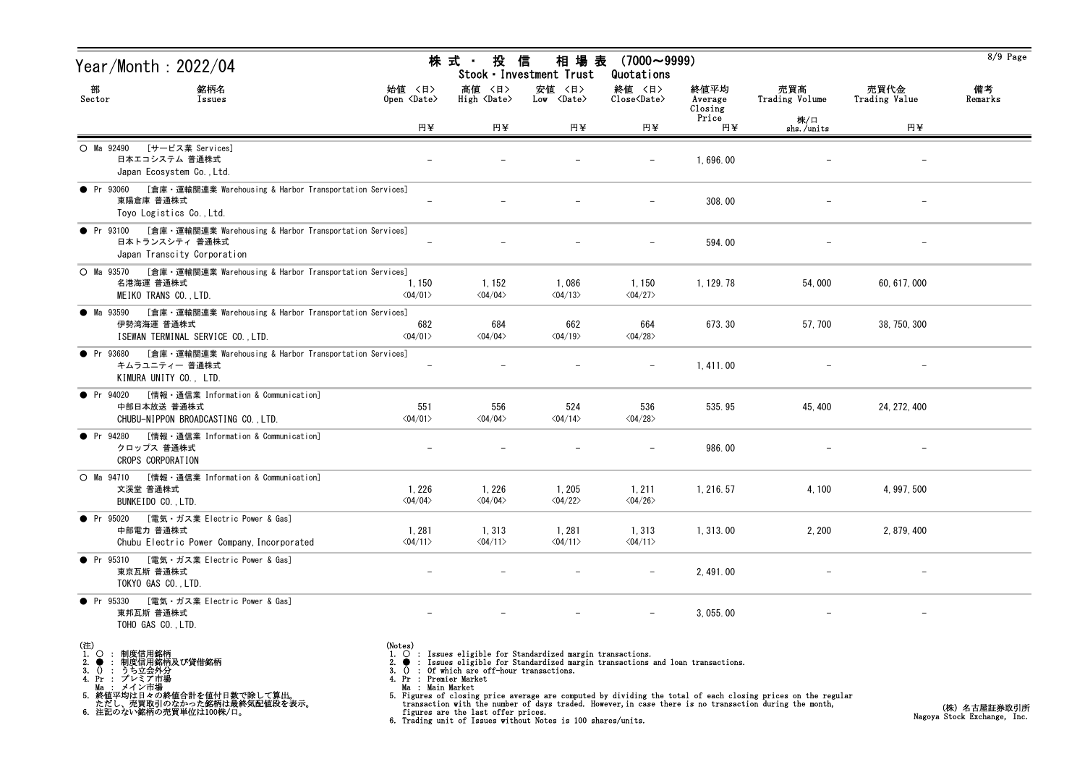| Year/Month : 2022/04                                                                                                             |                                                                        | 株 式 ・ 投                                                                   | 信<br>相場表<br>Stock · Investment Trust                                                                                                                                                                                          | $(7000 \sim 9999)$<br>Quotations |                            |                                                                                                                                                                                                                        |                       | $8/9$ Page                                  |
|----------------------------------------------------------------------------------------------------------------------------------|------------------------------------------------------------------------|---------------------------------------------------------------------------|-------------------------------------------------------------------------------------------------------------------------------------------------------------------------------------------------------------------------------|----------------------------------|----------------------------|------------------------------------------------------------------------------------------------------------------------------------------------------------------------------------------------------------------------|-----------------------|---------------------------------------------|
| 部<br>銘柄名<br>Sector<br>Issues                                                                                                     | 始值 〈日〉<br>Open $\langle$ Date $\rangle$                                | 高値 〈日〉<br>High <date></date>                                              | 安値 〈日〉<br>Low <date></date>                                                                                                                                                                                                   | 終値 〈日〉<br>Close <date></date>    | 終値平均<br>Average<br>Closing | 売買高<br>Trading Volume                                                                                                                                                                                                  | 売買代金<br>Trading Value | 備考<br>Remarks                               |
|                                                                                                                                  | 円¥                                                                     | 円¥                                                                        | 円¥                                                                                                                                                                                                                            | 円¥                               | Price<br>円半                | 株/口<br>shs./units                                                                                                                                                                                                      | 円半                    |                                             |
| [サービス業 Services]<br>O Ma 92490<br>日本エコシステム 普通株式<br>Japan Ecosystem Co., Ltd.                                                     |                                                                        |                                                                           |                                                                                                                                                                                                                               |                                  | 1,696.00                   |                                                                                                                                                                                                                        |                       |                                             |
| [倉庫・運輸関連業 Warehousing & Harbor Transportation Services]<br>$\bullet$ Pr 93060<br>東陽倉庫 普通株式<br>Toyo Logistics Co., Ltd.           |                                                                        |                                                                           |                                                                                                                                                                                                                               |                                  | 308.00                     |                                                                                                                                                                                                                        |                       |                                             |
| [倉庫・運輸関連業 Warehousing & Harbor Transportation Services]<br>• Pr 93100<br>日本トランスシティ 普通株式<br>Japan Transcity Corporation           |                                                                        |                                                                           |                                                                                                                                                                                                                               |                                  | 594.00                     |                                                                                                                                                                                                                        |                       |                                             |
| [倉庫・運輸関連業 Warehousing & Harbor Transportation Services]<br>$O$ Ma $93570$<br>名港海運 普通株式<br>MEIKO TRANS CO., LTD.                  | 1, 150<br>$\langle 04/01 \rangle$                                      | 1, 152<br>$\langle 04/04 \rangle$                                         | 1,086<br>$\langle 04/13 \rangle$                                                                                                                                                                                              | 1,150<br>$\langle 04/27 \rangle$ | 1, 129. 78                 | 54,000                                                                                                                                                                                                                 | 60, 617, 000          |                                             |
| [倉庫・運輸関連業 Warehousing & Harbor Transportation Services]<br>• Ma 93590<br>伊勢湾海運 普通株式<br>ISEWAN TERMINAL SERVICE CO., LTD.         | 682<br>$\langle 04/01 \rangle$                                         | 684<br>$\langle 04/04 \rangle$                                            | 662<br>$\langle 04/19 \rangle$                                                                                                                                                                                                | 664<br>$\langle 04/28 \rangle$   | 673.30                     | 57, 700                                                                                                                                                                                                                | 38, 750, 300          |                                             |
| [倉庫・運輸関連業 Warehousing & Harbor Transportation Services]<br>$\bullet$ Pr 93680<br>キムラユニティー 普通株式<br>KIMURA UNITY CO., LTD.         |                                                                        |                                                                           |                                                                                                                                                                                                                               |                                  | 1, 411.00                  |                                                                                                                                                                                                                        |                       |                                             |
| • Pr 94020<br>[情報・通信業 Information & Communication]<br>中部日本放送 普通株式<br>CHUBU-NIPPON BROADCASTING CO., LTD.                         | 551<br>$\langle 04/01 \rangle$                                         | 556<br>$\langle 04/04 \rangle$                                            | 524<br>$\langle 04/14 \rangle$                                                                                                                                                                                                | 536<br>$\langle 04/28 \rangle$   | 535.95                     | 45, 400                                                                                                                                                                                                                | 24, 272, 400          |                                             |
| [情報・通信業 Information & Communication]<br>• Pr 94280<br>クロップス 普通株式<br>CROPS CORPORATION                                            | $\overline{\phantom{m}}$                                               |                                                                           |                                                                                                                                                                                                                               |                                  | 986.00                     |                                                                                                                                                                                                                        |                       |                                             |
| ○ Ma 94710 [情報 · 通信業 Information & Communication]<br>文溪堂 普通株式<br>BUNKEIDO CO., LTD.                                              | 1,226<br>$\langle 04/04 \rangle$                                       | 1,226<br>$\langle 04/04 \rangle$                                          | 1, 205<br>$\langle 04/22 \rangle$                                                                                                                                                                                             | 1,211<br>$\langle 04/26 \rangle$ | 1, 216. 57                 | 4,100                                                                                                                                                                                                                  | 4, 997, 500           |                                             |
| ● Pr 95020 [電気・ガス業 Electric Power & Gas]<br>中部電力 普通株式<br>Chubu Electric Power Company, Incorporated                              | 1,281<br>$\langle 04/11 \rangle$                                       | 1,313<br>$\langle 04/11 \rangle$                                          | 1,281<br>$\langle 04/11 \rangle$                                                                                                                                                                                              | 1,313<br>$\langle 04/11 \rangle$ | 1, 313, 00                 | 2,200                                                                                                                                                                                                                  | 2, 879, 400           |                                             |
| [電気・ガス業 Electric Power & Gas]<br>• Pr 95310<br>東京瓦斯 普通株式<br>TOKYO GAS CO., LTD.                                                  |                                                                        |                                                                           |                                                                                                                                                                                                                               |                                  | 2, 491.00                  |                                                                                                                                                                                                                        |                       |                                             |
| • Pr 95330<br>「電気・ガス業 Electric Power & Gas]<br>東邦瓦斯 普通株式<br>TOHO GAS CO., LTD.                                                   |                                                                        |                                                                           |                                                                                                                                                                                                                               |                                  | 3, 055.00                  |                                                                                                                                                                                                                        |                       |                                             |
| (注)<br>1.<br>: 制度信用銘柄<br>$\circ$<br>: 制度信用銘柄及び貸借銘柄<br>2.<br>$\bullet$<br>うち立会外分<br>$\Omega$<br>3.<br>$\cdot$ :<br>4. Pr : プレミア市場 | (Notes)<br>$\circ$<br>3.<br>4. Pr : Premier Market<br>Ma : Main Market | Of which are off-hour transactions.<br>figures are the last offer prices. | $\circ$ : Issues eligible for Standardized margin transactions.<br>2. $\bullet$ : Issues eligible for Standardized margin transactions and loan transactions.<br>6. Trading unit of Issues without Notes is 100 shares/units. |                                  |                            | 5. Figures of closing price average are computed by dividing the total of each closing prices on the regular<br>transaction with the number of days traded. However, in case there is no transaction during the month, |                       | (株) 名古屋証券取引所<br>Nagoya Stock Exchange, Inc. |